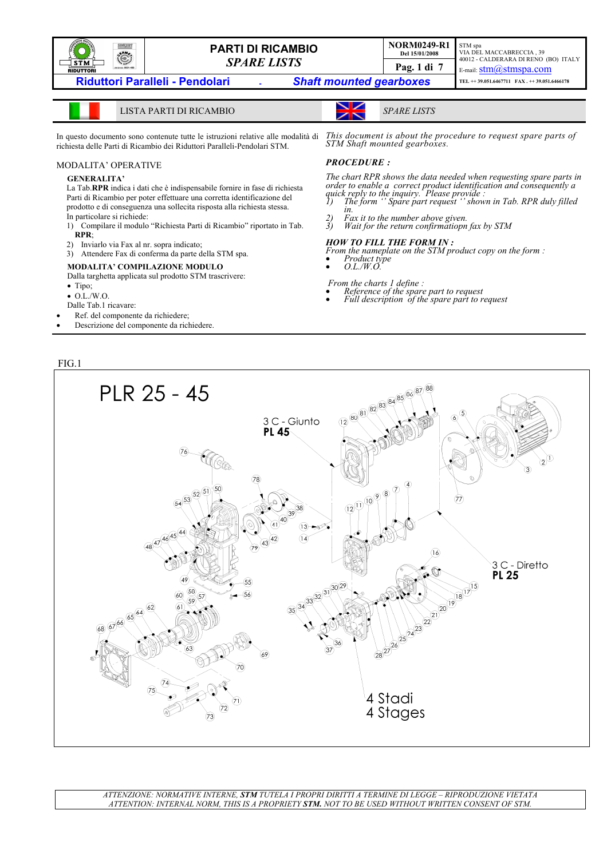

LISTA PARTI DI RICAMBIO *SPARE LISTS*

In questo documento sono contenute tutte le istruzioni relative alle modalità di richiesta delle Parti di Ricambio dei Riduttori Paralleli-Pendolari STM.

### MODALITA' OPERATIVE

#### **GENERALITA'**

La Tab.**RPR** indica i dati che è indispensabile fornire in fase di richiesta Parti di Ricambio per poter effettuare una corretta identificazione del prodotto e di conseguenza una sollecita risposta alla richiesta stessa. In particolare si richiede:

- 1) Compilare il modulo "Richiesta Parti di Ricambio" riportato in Tab. **RPR**;
- 2) Inviarlo via Fax al nr. sopra indicato;
- 3) Attendere Fax di conferma da parte della STM spa.

#### **MODALITA' COMPILAZIONE MODULO**

Dalla targhetta applicata sul prodotto STM trascrivere:

- Tipo;
- O.L./W.O.
- Dalle Tab.1 ricavare:
- Ref. del componente da richiedere;
- Descrizione del componente da richiedere.

FIG.1

*This document is about the procedure to request spare parts of STM Shaft mounted gearboxes.* 

### *PROCEDURE :*

The chart RPR shows the data needed when requesting spare parts in<br>order to enable a correct product identification and consequently a<br>quick reply to the inquiry. Please provide :<br>1) The form "Spare part request "shown in

- *in.* Fax it to the number above given.
- *2) Fax it to the number above given. 3) Wait for the return confirmatiopn fax by STM*

#### *HOW TO FILL THE FORM IN :*

*From the nameplate on the STM product copy on the form :* • *Product type* • *O.L./W.O.* 

- 
- 
- 
- *From the charts 1 define : Reference of the spare part to request Full description of the spare part to request*
- 

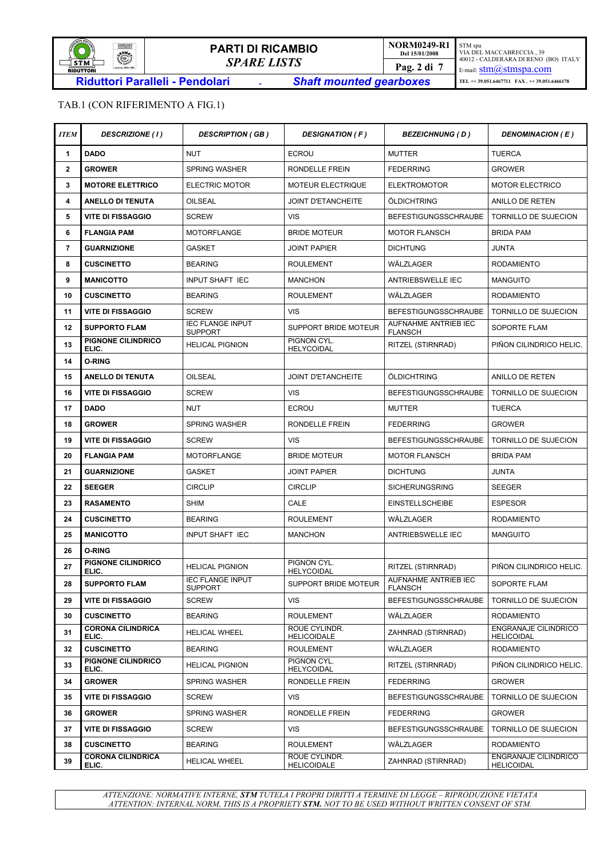

## TAB.1 (CON RIFERIMENTO A FIG.1)

| <b>ITEM</b>    | <b>DESCRIZIONE (1)</b>            | <b>DESCRIPTION (GB)</b>                   | <b>DESIGNATION (F)</b>              | <b>BEZEICHNUNG (D)</b>                 | <b>DENOMINACION (E)</b>                          |
|----------------|-----------------------------------|-------------------------------------------|-------------------------------------|----------------------------------------|--------------------------------------------------|
| 1              | <b>DADO</b>                       | <b>NUT</b>                                | <b>ECROU</b>                        | <b>MUTTER</b>                          | <b>TUERCA</b>                                    |
| $\overline{2}$ | <b>GROWER</b>                     | <b>SPRING WASHER</b>                      | RONDELLE FREIN                      | <b>FEDERRING</b>                       | <b>GROWER</b>                                    |
| 3              | <b>MOTORE ELETTRICO</b>           | ELECTRIC MOTOR                            | <b>MOTEUR ELECTRIQUE</b>            | <b>ELEKTROMOTOR</b>                    | <b>MOTOR ELECTRICO</b>                           |
| 4              | <b>ANELLO DI TENUTA</b>           | OILSEAL                                   | <b>JOINT D'ETANCHEITE</b>           | ÖLDICHTRING                            | ANILLO DE RETEN                                  |
| 5              | <b>VITE DI FISSAGGIO</b>          | <b>SCREW</b>                              | <b>VIS</b>                          | <b>BEFESTIGUNGSSCHRAUBE</b>            | TORNILLO DE SUJECION                             |
| 6              | <b>FLANGIA PAM</b>                | <b>MOTORFLANGE</b>                        | <b>BRIDE MOTEUR</b>                 | <b>MOTOR FLANSCH</b>                   | <b>BRIDA PAM</b>                                 |
| $\overline{7}$ | <b>GUARNIZIONE</b>                | <b>GASKET</b>                             | <b>JOINT PAPIER</b>                 | <b>DICHTUNG</b>                        | <b>JUNTA</b>                                     |
| 8              | <b>CUSCINETTO</b>                 | <b>BEARING</b>                            | <b>ROULEMENT</b>                    | WÄLZLAGER                              | <b>RODAMIENTO</b>                                |
| 9              | <b>MANICOTTO</b>                  | <b>INPUT SHAFT IEC</b>                    | <b>MANCHON</b>                      | ANTRIEBSWELLE IEC                      | <b>MANGUITO</b>                                  |
| 10             | <b>CUSCINETTO</b>                 | <b>BEARING</b>                            | <b>ROULEMENT</b>                    | WÄLZLAGER                              | <b>RODAMIENTO</b>                                |
| 11             | <b>VITE DI FISSAGGIO</b>          | <b>SCREW</b>                              | <b>VIS</b>                          | <b>BEFESTIGUNGSSCHRAUBE</b>            | TORNILLO DE SUJECION                             |
| 12             | <b>SUPPORTO FLAM</b>              | <b>IEC FLANGE INPUT</b><br><b>SUPPORT</b> | SUPPORT BRIDE MOTEUR                | AUFNAHME ANTRIEB IEC<br><b>FLANSCH</b> | <b>SOPORTE FLAM</b>                              |
| 13             | PIGNONE CILINDRICO<br>ELIC.       | <b>HELICAL PIGNION</b>                    | PIGNON CYL.<br><b>HELYCOIDAL</b>    | RITZEL (STIRNRAD)                      | PIÑON CILINDRICO HELIC.                          |
| 14             | <b>O-RING</b>                     |                                           |                                     |                                        |                                                  |
| 15             | <b>ANELLO DI TENUTA</b>           | OILSEAL                                   | <b>JOINT D'ETANCHEITE</b>           | ÖLDICHTRING                            | ANILLO DE RETEN                                  |
| 16             | <b>VITE DI FISSAGGIO</b>          | <b>SCREW</b>                              | <b>VIS</b>                          | <b>BEFESTIGUNGSSCHRAUBE</b>            | TORNILLO DE SUJECION                             |
| 17             | <b>DADO</b>                       | <b>NUT</b>                                | <b>ECROU</b>                        | <b>MUTTER</b>                          | <b>TUERCA</b>                                    |
| 18             | <b>GROWER</b>                     | <b>SPRING WASHER</b>                      | RONDELLE FREIN                      | <b>FEDERRING</b>                       | <b>GROWER</b>                                    |
| 19             | <b>VITE DI FISSAGGIO</b>          | <b>SCREW</b>                              | <b>VIS</b>                          | <b>BEFESTIGUNGSSCHRAUBE</b>            | TORNILLO DE SUJECION                             |
| 20             | <b>FLANGIA PAM</b>                | <b>MOTORFLANGE</b>                        | <b>BRIDE MOTEUR</b>                 | <b>MOTOR FLANSCH</b>                   | <b>BRIDA PAM</b>                                 |
| 21             | <b>GUARNIZIONE</b>                | <b>GASKET</b>                             | <b>JOINT PAPIER</b>                 | <b>DICHTUNG</b>                        | <b>JUNTA</b>                                     |
| 22             | <b>SEEGER</b>                     | <b>CIRCLIP</b>                            | <b>CIRCLIP</b>                      | SICHERUNGSRING                         | <b>SEEGER</b>                                    |
| 23             | <b>RASAMENTO</b>                  | <b>SHIM</b>                               | CALE                                | <b>EINSTELLSCHEIBE</b>                 | <b>ESPESOR</b>                                   |
| 24             | <b>CUSCINETTO</b>                 | <b>BEARING</b>                            | <b>ROULEMENT</b>                    | WÄLZLAGER                              | <b>RODAMIENTO</b>                                |
| 25             | <b>MANICOTTO</b>                  | <b>INPUT SHAFT IEC</b>                    | <b>MANCHON</b>                      | ANTRIEBSWELLE IEC                      | <b>MANGUITO</b>                                  |
| 26             | O-RING                            |                                           |                                     |                                        |                                                  |
| 27             | PIGNONE CILINDRICO<br>ELIC.       | <b>HELICAL PIGNION</b>                    | PIGNON CYL.<br><b>HELYCOIDAL</b>    | RITZEL (STIRNRAD)                      | PIÑON CILINDRICO HELIC.                          |
| 28             | <b>SUPPORTO FLAM</b>              | <b>IEC FLANGE INPUT</b><br><b>SUPPORT</b> | SUPPORT BRIDE MOTEUR                | AUFNAHME ANTRIEB IEC<br><b>FLANSCH</b> | <b>SOPORTE FLAM</b>                              |
| 29             | VITE DI FISSAGGIO                 | <b>SCREW</b>                              | <b>VIS</b>                          | <b>BEFESTIGUNGSSCHRAUBE</b>            | <b>TORNILLO DE SUJECION</b>                      |
| 30             | <b>CUSCINETTO</b>                 | <b>BEARING</b>                            | <b>ROULEMENT</b>                    | WÄLZLAGER                              | <b>RODAMIENTO</b>                                |
| 31             | <b>CORONA CILINDRICA</b><br>ELIC. | <b>HELICAL WHEEL</b>                      | ROUE CYLINDR.<br><b>HELICOIDALE</b> | ZAHNRAD (STIRNRAD)                     | <b>ENGRANAJE CILINDRICO</b><br><b>HELICOIDAL</b> |
| 32             | <b>CUSCINETTO</b>                 | <b>BEARING</b>                            | <b>ROULEMENT</b>                    | WÄLZLAGER                              | <b>RODAMIENTO</b>                                |
| 33             | PIGNONE CILINDRICO<br>ELIC.       | <b>HELICAL PIGNION</b>                    | PIGNON CYL.<br>HELYCOIDAL           | RITZEL (STIRNRAD)                      | PIÑON CILINDRICO HELIC.                          |
| 34             | <b>GROWER</b>                     | <b>SPRING WASHER</b>                      | RONDELLE FREIN                      | <b>FEDERRING</b>                       | <b>GROWER</b>                                    |
| 35             | <b>VITE DI FISSAGGIO</b>          | <b>SCREW</b>                              | <b>VIS</b>                          | <b>BEFESTIGUNGSSCHRAUBE</b>            | TORNILLO DE SUJECION                             |
| 36             | <b>GROWER</b>                     | <b>SPRING WASHER</b>                      | RONDELLE FREIN                      | <b>FEDERRING</b>                       | <b>GROWER</b>                                    |
| 37             | <b>VITE DI FISSAGGIO</b>          | <b>SCREW</b>                              | <b>VIS</b>                          | <b>BEFESTIGUNGSSCHRAUBE</b>            | TORNILLO DE SUJECION                             |
| 38             | <b>CUSCINETTO</b>                 | <b>BEARING</b>                            | <b>ROULEMENT</b>                    | WÄLZLAGER                              | <b>RODAMIENTO</b>                                |
| 39             | <b>CORONA CILINDRICA</b><br>ELIC. | <b>HELICAL WHEEL</b>                      | ROUE CYLINDR.<br><b>HELICOIDALE</b> | ZAHNRAD (STIRNRAD)                     | ENGRANAJE CILINDRICO<br><b>HELICOIDAL</b>        |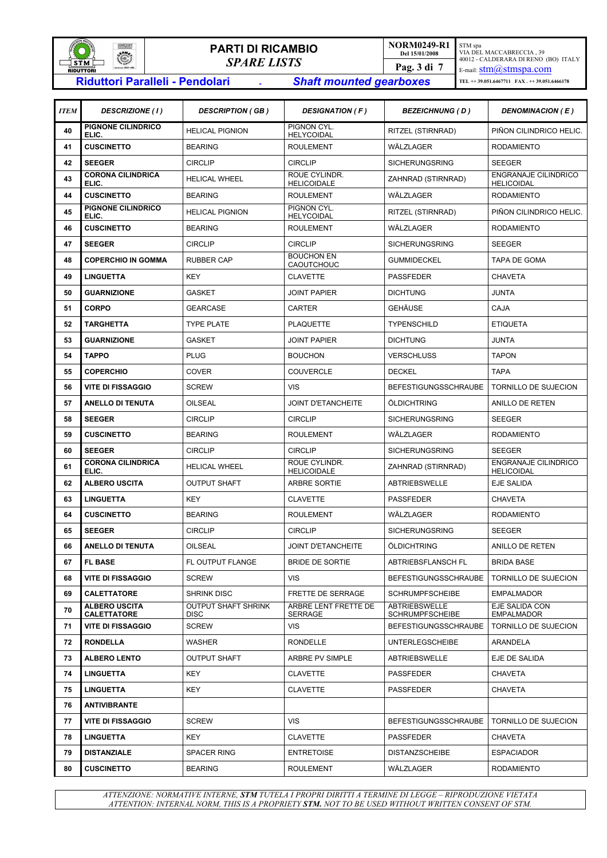

# **PARTI DI RICAMBIO**  *SPARE LISTS* **RIGHTLERIGE RESEART DI RICAMBIO**<br> **RIGUITORI -** *SPARE LISTS*<br>
Riduttori Paralleli - Pendolari - *Shaft mounted gearboxes*

**NORM0249-R1 Del 15/01/2008**  STM spa VIA DEL MACCABRECCIA , 39 40012 - CALDERARA DI RENO (BO) ITALY E-mail: **stm**@stmspa.com **TEL ++ 39.051.6467711 FAX . ++ 39.051.6466178 Pag. 3 di 7** 

| <b>ITEM</b> | <b>DESCRIZIONE (1)</b>                     | <b>DESCRIPTION (GB)</b>                   | <b>DESIGNATION (F)</b>                 | <b>BEZEICHNUNG (D)</b>                  | <b>DENOMINACION (E)</b>                          |
|-------------|--------------------------------------------|-------------------------------------------|----------------------------------------|-----------------------------------------|--------------------------------------------------|
| 40          | PIGNONE CILINDRICO<br>ELIC.                | <b>HELICAL PIGNION</b>                    | PIGNON CYL.<br><b>HELYCOIDAL</b>       | RITZEL (STIRNRAD)                       | PIÑON CILINDRICO HELIC.                          |
| 41          | <b>CUSCINETTO</b>                          | <b>BEARING</b>                            | <b>ROULEMENT</b>                       | WÄLZLAGER                               | <b>RODAMIENTO</b>                                |
| 42          | <b>SEEGER</b>                              | <b>CIRCLIP</b>                            | <b>CIRCLIP</b>                         | <b>SICHERUNGSRING</b>                   | <b>SEEGER</b>                                    |
| 43          | <b>CORONA CILINDRICA</b><br>ELIC.          | <b>HELICAL WHEEL</b>                      | ROUE CYLINDR.<br>HELICOIDALE           | ZAHNRAD (STIRNRAD)                      | <b>ENGRANAJE CILINDRICO</b><br><b>HELICOIDAL</b> |
| 44          | <b>CUSCINETTO</b>                          | <b>BEARING</b>                            | <b>ROULEMENT</b>                       | WÄLZLAGER                               | <b>RODAMIENTO</b>                                |
| 45          | PIGNONE CILINDRICO<br>ELIC.                | <b>HELICAL PIGNION</b>                    | PIGNON CYL.<br>HELYCOIDAL              | RITZEL (STIRNRAD)                       | PIÑON CILINDRICO HELIC.                          |
| 46          | <b>CUSCINETTO</b>                          | <b>BEARING</b>                            | <b>ROULEMENT</b>                       | WÄLZLAGER                               | <b>RODAMIENTO</b>                                |
| 47          | <b>SEEGER</b>                              | <b>CIRCLIP</b>                            | <b>CIRCLIP</b>                         | <b>SICHERUNGSRING</b>                   | <b>SEEGER</b>                                    |
| 48          | <b>COPERCHIO IN GOMMA</b>                  | <b>RUBBER CAP</b>                         | <b>BOUCHON EN</b><br>CAOUTCHOUC        | <b>GUMMIDECKEL</b>                      | <b>TAPA DE GOMA</b>                              |
| 49          | <b>LINGUETTA</b>                           | <b>KEY</b>                                | <b>CLAVETTE</b>                        | <b>PASSFEDER</b>                        | <b>CHAVETA</b>                                   |
| 50          | <b>GUARNIZIONE</b>                         | <b>GASKET</b>                             | <b>JOINT PAPIER</b>                    | <b>DICHTUNG</b>                         | <b>JUNTA</b>                                     |
| 51          | <b>CORPO</b>                               | <b>GEARCASE</b>                           | <b>CARTER</b>                          | GEHÄUSE                                 | <b>CAJA</b>                                      |
| 52          | <b>TARGHETTA</b>                           | <b>TYPE PLATE</b>                         | <b>PLAQUETTE</b>                       | <b>TYPENSCHILD</b>                      | <b>ETIQUETA</b>                                  |
| 53          | <b>GUARNIZIONE</b>                         | <b>GASKET</b>                             | <b>JOINT PAPIER</b>                    | <b>DICHTUNG</b>                         | <b>JUNTA</b>                                     |
| 54          | <b>TAPPO</b>                               | <b>PLUG</b>                               | <b>BOUCHON</b>                         | <b>VERSCHLUSS</b>                       | <b>TAPON</b>                                     |
| 55          | <b>COPERCHIO</b>                           | COVER                                     | <b>COUVERCLE</b>                       | <b>DECKEL</b>                           | <b>TAPA</b>                                      |
| 56          | <b>VITE DI FISSAGGIO</b>                   | <b>SCREW</b>                              | VIS                                    | <b>BEFESTIGUNGSSCHRAUBE</b>             | <b>TORNILLO DE SUJECION</b>                      |
| 57          | ANELLO DI TENUTA                           | OILSEAL                                   | <b>JOINT D'ETANCHEITE</b>              | ÖLDICHTRING                             | ANILLO DE RETEN                                  |
| 58          | <b>SEEGER</b>                              | <b>CIRCLIP</b>                            | <b>CIRCLIP</b>                         | <b>SICHERUNGSRING</b>                   | <b>SEEGER</b>                                    |
| 59          | <b>CUSCINETTO</b>                          | <b>BEARING</b>                            | <b>ROULEMENT</b>                       | WÄLZLAGER                               | <b>RODAMIENTO</b>                                |
| 60          | <b>SEEGER</b>                              | <b>CIRCLIP</b>                            | <b>CIRCLIP</b>                         | <b>SICHERUNGSRING</b>                   | <b>SEEGER</b>                                    |
| 61          | <b>CORONA CILINDRICA</b><br>ELIC.          | <b>HELICAL WHEEL</b>                      | ROUE CYLINDR.<br>HELICOIDALE           | ZAHNRAD (STIRNRAD)                      | <b>ENGRANAJE CILINDRICO</b><br><b>HELICOIDAL</b> |
| 62          | <b>ALBERO USCITA</b>                       | <b>OUTPUT SHAFT</b>                       | ARBRE SORTIE                           | <b>ABTRIEBSWELLE</b>                    | <b>EJE SALIDA</b>                                |
| 63          | <b>LINGUETTA</b>                           | <b>KEY</b>                                | <b>CLAVETTE</b>                        | <b>PASSFEDER</b>                        | <b>CHAVETA</b>                                   |
| 64          | <b>CUSCINETTO</b>                          | <b>BEARING</b>                            | <b>ROULEMENT</b>                       | WÄLZLAGER                               | <b>RODAMIENTO</b>                                |
| 65          | <b>SEEGER</b>                              | <b>CIRCLIP</b>                            | <b>CIRCLIP</b>                         | <b>SICHERUNGSRING</b>                   | <b>SEEGER</b>                                    |
| 66          | <b>ANELLO DI TENUTA</b>                    | <b>OILSEAL</b>                            | <b>JOINT D'ETANCHEITE</b>              | ÖLDICHTRING                             | ANILLO DE RETEN                                  |
| 67          | <b>FL BASE</b>                             | FL OUTPUT FLANGE                          | BRIDE DE SORTIE                        | <b>ABTRIEBSFLANSCH FL</b>               | <b>BRIDA BASE</b>                                |
| 68          | <b>VITE DI FISSAGGIO</b>                   | <b>SCREW</b>                              | VIS                                    | BEFESTIGUNGSSCHRAUBE                    | TORNILLO DE SUJECION                             |
| 69          | <b>CALETTATORE</b>                         | <b>SHRINK DISC</b>                        | FRETTE DE SERRAGE                      | <b>SCHRUMPFSCHEIBE</b>                  | <b>EMPALMADOR</b>                                |
| 70          | <b>ALBERO USCITA</b><br><b>CALETTATORE</b> | <b>OUTPUT SHAFT SHRINK</b><br><b>DISC</b> | <b>ARBRE LENT FRETTE DE</b><br>SERRAGE | <b>ABTRIEBSWELLE</b><br>SCHRUMPFSCHEIBE | EJE SALIDA CON<br><b>EMPALMADOR</b>              |
| 71          | <b>VITE DI FISSAGGIO</b>                   | <b>SCREW</b>                              | <b>VIS</b>                             | BEFESTIGUNGSSCHRAUBE                    | <b>TORNILLO DE SUJECION</b>                      |
| 72          | <b>RONDELLA</b>                            | WASHER                                    | <b>RONDELLE</b>                        | <b>UNTERLEGSCHEIBE</b>                  | ARANDELA                                         |
| 73          | <b>ALBERO LENTO</b>                        | <b>OUTPUT SHAFT</b>                       | ARBRE PV SIMPLE                        | ABTRIEBSWELLE                           | EJE DE SALIDA                                    |
| 74          | <b>LINGUETTA</b>                           | KEY                                       | <b>CLAVETTE</b>                        | PASSFEDER                               | CHAVETA                                          |
| 75          | <b>LINGUETTA</b>                           | KEY                                       | <b>CLAVETTE</b>                        | PASSFEDER                               | CHAVETA                                          |
| 76          | <b>ANTIVIBRANTE</b>                        |                                           |                                        |                                         |                                                  |
| 77          | VITE DI FISSAGGIO                          | <b>SCREW</b>                              | VIS                                    | BEFESTIGUNGSSCHRAUBE                    | TORNILLO DE SUJECION                             |
| 78          | <b>LINGUETTA</b>                           | KEY                                       | <b>CLAVETTE</b>                        | PASSFEDER                               | CHAVETA                                          |
| 79          | <b>DISTANZIALE</b>                         | <b>SPACER RING</b>                        | <b>ENTRETOISE</b>                      | <b>DISTANZSCHEIBE</b>                   | <b>ESPACIADOR</b>                                |
| 80          | <b>CUSCINETTO</b>                          | <b>BEARING</b>                            | ROULEMENT                              | WÄLZLAGER                               | RODAMIENTO                                       |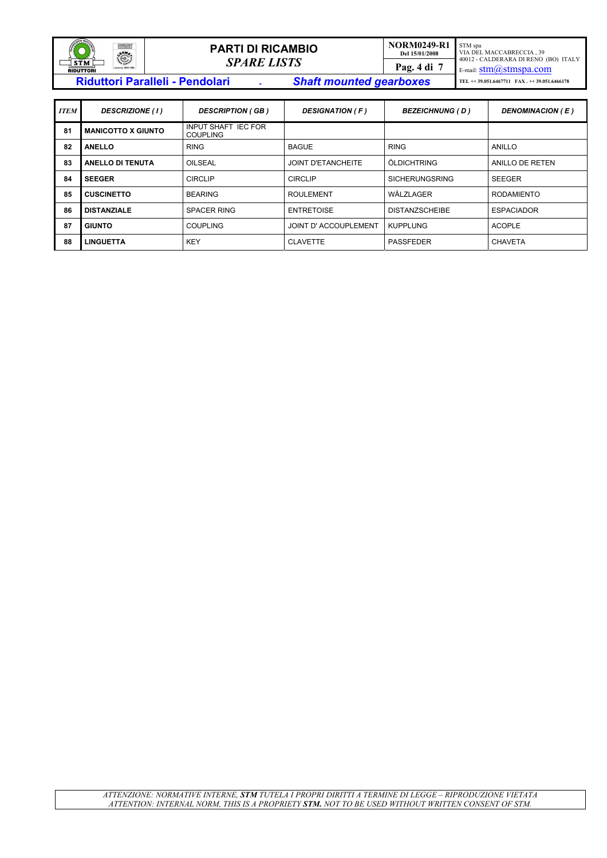| <b>SONIALCE</b><br><b>SINGERT</b><br>C<br>$ \sim$ $\sim$ | <b>PARTI DI RICAMBIO</b>                                                 | <b>NORM0249-R1</b><br>Del 15/01/2008 | STM spa<br>VIA DEL MACCABRECCIA, 39<br>40012 - CALDERARA DI RENO (BO) ITALY |
|----------------------------------------------------------|--------------------------------------------------------------------------|--------------------------------------|-----------------------------------------------------------------------------|
| <b>STM</b><br>ue (x so 9001-489)<br><b>RIDUTTORI</b>     | <b>SPARE LISTS</b>                                                       | Pag. 4 di 7                          | E-mail: $stim(a)$ stmspa.com                                                |
|                                                          | <b>Riduttori Paralleli - Pendolari</b><br><b>Shaft mounted gearboxes</b> |                                      | TEL $\leftrightarrow$ 39.051.6467711 FAX + + 39.051.6466178                 |

| <b>ITEM</b> | <b>DESCRIZIONE</b> (1)    | <b>DESCRIPTION (GB)</b>                       | <b>DESIGNATION (F)</b> | <b>BEZEICHNUNG (D)</b> | DENOMINACION (E)  |
|-------------|---------------------------|-----------------------------------------------|------------------------|------------------------|-------------------|
| 81          | <b>MANICOTTO X GIUNTO</b> | <b>INPUT SHAFT IEC FOR</b><br><b>COUPLING</b> |                        |                        |                   |
| 82          | <b>ANELLO</b>             | <b>RING</b>                                   | <b>BAGUE</b>           | <b>RING</b>            | ANILLO            |
| 83          | <b>ANELLO DI TENUTA</b>   | OILSEAL                                       | JOINT D'ETANCHEITE     | ÖLDICHTRING            | ANILLO DE RETEN   |
| 84          | <b>SEEGER</b>             | <b>CIRCLIP</b>                                | <b>CIRCLIP</b>         | <b>SICHERUNGSRING</b>  | <b>SEEGER</b>     |
| 85          | <b>CUSCINETTO</b>         | <b>BEARING</b>                                | <b>ROULEMENT</b>       | WÄLZLAGER              | <b>RODAMIENTO</b> |
| 86          | <b>DISTANZIALE</b>        | <b>SPACER RING</b>                            | <b>ENTRETOISE</b>      | <b>DISTANZSCHEIBE</b>  | <b>ESPACIADOR</b> |
| 87          | <b>GIUNTO</b>             | <b>COUPLING</b>                               | JOINT D'ACCOUPLEMENT   | <b>KUPPLUNG</b>        | <b>ACOPLE</b>     |
| 88          | <b>LINGUETTA</b>          | <b>KEY</b>                                    | <b>CLAVETTE</b>        | <b>PASSFEDER</b>       | <b>CHAVETA</b>    |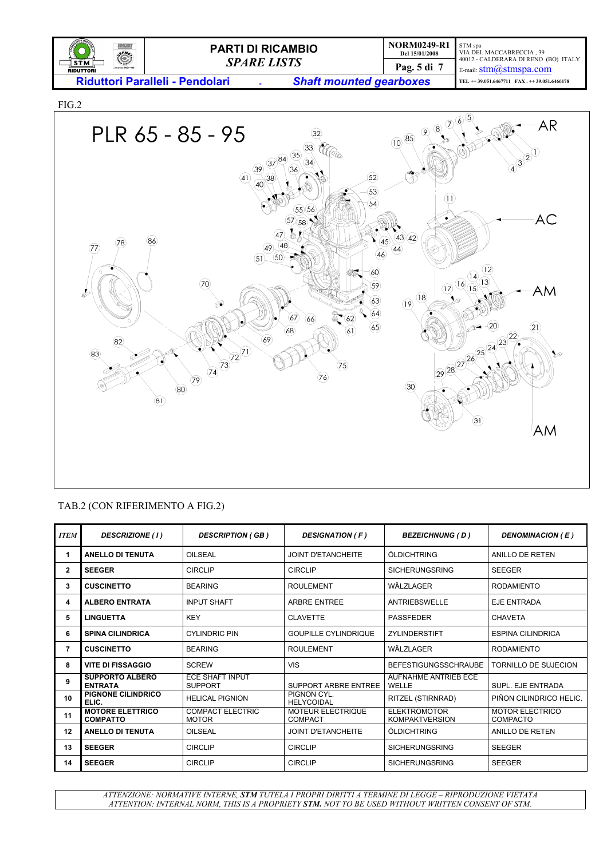

FIG.2



## TAB.2 (CON RIFERIMENTO A FIG.2)

| <b>ITEM</b>  | <b>DESCRIZIONE (1)</b>                     | <b>DESCRIPTION (GB)</b>                 | <b>DESIGNATION (F)</b>              | <b>BEZEICHNUNG (D)</b>                       | DENOMINACION (E)                   |
|--------------|--------------------------------------------|-----------------------------------------|-------------------------------------|----------------------------------------------|------------------------------------|
| 1            | <b>ANELLO DI TENUTA</b>                    | OILSEAL                                 | <b>JOINT D'ETANCHEITE</b>           | ÖLDICHTRING                                  | ANILLO DE RETEN                    |
| $\mathbf{2}$ | <b>SEEGER</b>                              | <b>CIRCLIP</b>                          | <b>CIRCLIP</b>                      | <b>SICHERUNGSRING</b>                        | <b>SEEGER</b>                      |
| 3            | <b>CUSCINETTO</b>                          | <b>BEARING</b>                          | <b>ROULEMENT</b>                    | WÄLZLAGER                                    | <b>RODAMIENTO</b>                  |
| 4            | <b>ALBERO ENTRATA</b>                      | <b>INPUT SHAFT</b>                      | <b>ARBRE ENTREE</b>                 | ANTRIEBSWELLE                                | <b>EJE ENTRADA</b>                 |
| 5            | <b>LINGUETTA</b>                           | <b>KEY</b>                              | <b>CLAVETTE</b>                     | <b>PASSFEDER</b>                             | <b>CHAVETA</b>                     |
| 6            | <b>SPINA CILINDRICA</b>                    | <b>CYLINDRIC PIN</b>                    | <b>GOUPILLE CYLINDRIQUE</b>         | <b>ZYLINDERSTIFT</b>                         | <b>ESPINA CILINDRICA</b>           |
| 7            | <b>CUSCINETTO</b>                          | <b>BEARING</b>                          | <b>ROULEMENT</b>                    | WÄLZLAGER                                    | <b>RODAMIENTO</b>                  |
| 8            | <b>VITE DI FISSAGGIO</b>                   | <b>SCREW</b>                            | VIS                                 | <b>BEFESTIGUNGSSCHRAUBE</b>                  | TORNILLO DE SUJECION               |
| 9            | <b>SUPPORTO ALBERO</b><br><b>ENTRATA</b>   | ECE SHAFT INPUT<br><b>SUPPORT</b>       | SUPPORT ARBRE ENTREE                | <b>AUFNAHME ANTRIEB ECE</b><br>WELLE         | SUPL. EJE ENTRADA                  |
| 10           | <b>PIGNONE CILINDRICO</b><br>ELIC.         | <b>HELICAL PIGNION</b>                  | PIGNON CYL.<br><b>HELYCOIDAL</b>    | RITZEL (STIRNRAD)                            | PIÑON CILINDRICO HELIC.            |
| 11           | <b>MOTORE ELETTRICO</b><br><b>COMPATTO</b> | <b>COMPACT ELECTRIC</b><br><b>MOTOR</b> | <b>MOTEUR ELECTRIQUE</b><br>COMPACT | <b>ELEKTROMOTOR</b><br><b>KOMPAKTVERSION</b> | <b>MOTOR ELECTRICO</b><br>COMPACTO |
| 12           | <b>ANELLO DI TENUTA</b>                    | OILSEAL                                 | JOINT D'ETANCHEITE                  | ÖLDICHTRING                                  | ANILLO DE RETEN                    |
| 13           | <b>SEEGER</b>                              | <b>CIRCLIP</b>                          | <b>CIRCLIP</b>                      | <b>SICHERUNGSRING</b>                        | <b>SEEGER</b>                      |
| 14           | <b>SEEGER</b>                              | <b>CIRCLIP</b>                          | <b>CIRCLIP</b>                      | <b>SICHERUNGSRING</b>                        | <b>SEEGER</b>                      |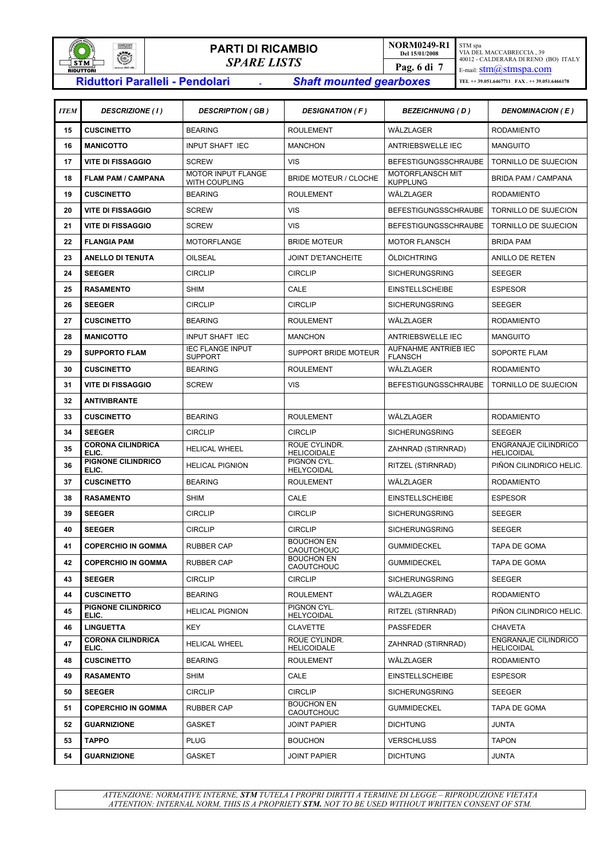

# **PARTI DI RICAMBIO**  *SPARE LISTS* **RIGHTLE PARTI DI RICAMBIO**<br> **RIDUTTORI -** *SPARE LISTS*<br>
Riduttori Paralleli - Pendolari - - - - - - - - Shaft mounted gearboxes

**NORM0249-R1 Del 15/01/2008**  STM spa VIA DEL MACCABRECCIA , 39 40012 - CALDERARA DI RENO (BO) ITALY E-mail: **stm**@stmspa.com **TEL ++ 39.051.6467711 FAX . ++ 39.051.6466178 Pag. 6 di 7** 

| <b>ITEM</b> | <b>DESCRIZIONE</b> (1)            | <b>DESCRIPTION (GB)</b>                    | <b>DESIGNATION (F)</b>              | <b>BEZEICHNUNG (D)</b>                        | <b>DENOMINACION (E)</b>                          |
|-------------|-----------------------------------|--------------------------------------------|-------------------------------------|-----------------------------------------------|--------------------------------------------------|
| 15          | <b>CUSCINETTO</b>                 | <b>BEARING</b>                             | <b>ROULEMENT</b>                    | WÄLZLAGER                                     | <b>RODAMIENTO</b>                                |
| 16          | <b>MANICOTTO</b>                  | <b>INPUT SHAFT IEC</b>                     | <b>MANCHON</b>                      | <b>ANTRIEBSWELLE IEC</b>                      | <b>MANGUITO</b>                                  |
| 17          | <b>VITE DI FISSAGGIO</b>          | <b>SCREW</b>                               | <b>VIS</b>                          | <b>BEFESTIGUNGSSCHRAUBE</b>                   | <b>TORNILLO DE SUJECION</b>                      |
| 18          | <b>FLAM PAM / CAMPANA</b>         | <b>MOTOR INPUT FLANGE</b><br>WITH COUPLING | <b>BRIDE MOTEUR / CLOCHE</b>        | MOTORFLANSCH MIT<br><b>KUPPLUNG</b>           | BRIDA PAM / CAMPANA                              |
| 19          | <b>CUSCINETTO</b>                 | <b>BEARING</b>                             | <b>ROULEMENT</b>                    | WÄLZLAGER                                     | <b>RODAMIENTO</b>                                |
| 20          | <b>VITE DI FISSAGGIO</b>          | <b>SCREW</b>                               | <b>VIS</b>                          | <b>BEFESTIGUNGSSCHRAUBE</b>                   | <b>TORNILLO DE SUJECION</b>                      |
| 21          | <b>VITE DI FISSAGGIO</b>          | <b>SCREW</b>                               | VIS                                 | <b>BEFESTIGUNGSSCHRAUBE</b>                   | TORNILLO DE SUJECION                             |
| 22          | <b>FLANGIA PAM</b>                | <b>MOTORFLANGE</b>                         | <b>BRIDE MOTEUR</b>                 | <b>MOTOR FLANSCH</b>                          | <b>BRIDA PAM</b>                                 |
| 23          | <b>ANELLO DI TENUTA</b>           | OILSEAL                                    | <b>JOINT D'ETANCHEITE</b>           | ÖLDICHTRING                                   | ANILLO DE RETEN                                  |
| 24          | <b>SEEGER</b>                     | <b>CIRCLIP</b>                             | <b>CIRCLIP</b>                      | <b>SICHERUNGSRING</b>                         | <b>SEEGER</b>                                    |
| 25          | <b>RASAMENTO</b>                  | <b>SHIM</b>                                | CALE                                | <b>EINSTELLSCHEIBE</b>                        | <b>ESPESOR</b>                                   |
| 26          | <b>SEEGER</b>                     | <b>CIRCLIP</b>                             | <b>CIRCLIP</b>                      | <b>SICHERUNGSRING</b>                         | <b>SEEGER</b>                                    |
| 27          | <b>CUSCINETTO</b>                 | <b>BEARING</b>                             | <b>ROULEMENT</b>                    | WÄLZLAGER                                     | <b>RODAMIENTO</b>                                |
| 28          | <b>MANICOTTO</b>                  | <b>INPUT SHAFT IEC</b>                     | <b>MANCHON</b>                      | <b>ANTRIEBSWELLE IEC</b>                      | <b>MANGUITO</b>                                  |
| 29          | <b>SUPPORTO FLAM</b>              | <b>IEC FLANGE INPUT</b><br><b>SUPPORT</b>  | <b>SUPPORT BRIDE MOTEUR</b>         | <b>AUFNAHME ANTRIEB IEC</b><br><b>FLANSCH</b> | SOPORTE FLAM                                     |
| 30          | <b>CUSCINETTO</b>                 | <b>BEARING</b>                             | <b>ROULEMENT</b>                    | WÄLZLAGER                                     | <b>RODAMIENTO</b>                                |
| 31          | <b>VITE DI FISSAGGIO</b>          | <b>SCREW</b>                               | <b>VIS</b>                          | <b>BEFESTIGUNGSSCHRAUBE</b>                   | TORNILLO DE SUJECION                             |
| 32          | <b>ANTIVIBRANTE</b>               |                                            |                                     |                                               |                                                  |
| 33          | <b>CUSCINETTO</b>                 | <b>BEARING</b>                             | <b>ROULEMENT</b>                    | WÄLZLAGER                                     | <b>RODAMIENTO</b>                                |
| 34          | <b>SEEGER</b>                     | <b>CIRCLIP</b>                             | <b>CIRCLIP</b>                      | <b>SICHERUNGSRING</b>                         | <b>SEEGER</b>                                    |
| 35          | <b>CORONA CILINDRICA</b><br>ELIC. | <b>HELICAL WHEEL</b>                       | ROUE CYLINDR.<br><b>HELICOIDALE</b> | ZAHNRAD (STIRNRAD)                            | <b>ENGRANAJE CILINDRICO</b><br><b>HELICOIDAL</b> |
| 36          | PIGNONE CILINDRICO<br>ELIC.       | <b>HELICAL PIGNION</b>                     | PIGNON CYL.<br><b>HELYCOIDAL</b>    | RITZEL (STIRNRAD)                             | PIÑON CILINDRICO HELIC.                          |
| 37          | <b>CUSCINETTO</b>                 | <b>BEARING</b>                             | <b>ROULEMENT</b>                    | WÄLZLAGER                                     | <b>RODAMIENTO</b>                                |
| 38          | <b>RASAMENTO</b>                  | <b>SHIM</b>                                | CALE                                | <b>EINSTELLSCHEIBE</b>                        | <b>ESPESOR</b>                                   |
| 39          | <b>SEEGER</b>                     | <b>CIRCLIP</b>                             | <b>CIRCLIP</b>                      | <b>SICHERUNGSRING</b>                         | <b>SEEGER</b>                                    |
| 40          | <b>SEEGER</b>                     | <b>CIRCLIP</b>                             | <b>CIRCLIP</b>                      | <b>SICHERUNGSRING</b>                         | <b>SEEGER</b>                                    |
| 41          | <b>COPERCHIO IN GOMMA</b>         | <b>RUBBER CAP</b>                          | <b>BOUCHON EN</b><br>CAOUTCHOUC     | <b>GUMMIDECKEL</b>                            | <b>TAPA DE GOMA</b>                              |
| 42          | <b>COPERCHIO IN GOMMA</b>         | <b>RUBBER CAP</b>                          | <b>BOUCHON EN</b><br>CAOUTCHOUC     | <b>GUMMIDECKEL</b>                            | <b>TAPA DE GOMA</b>                              |
| 43          | <b>SEEGER</b>                     | <b>CIRCLIP</b>                             | <b>CIRCLIP</b>                      | <b>SICHERUNGSRING</b>                         | <b>SEEGER</b>                                    |
| 44          | <b>CUSCINETTO</b>                 | <b>BEARING</b>                             | <b>ROULEMENT</b>                    | WÄLZLAGER                                     | <b>RODAMIENTO</b>                                |
| 45          | PIGNONE CILINDRICO<br>ELIC.       | <b>HELICAL PIGNION</b>                     | PIGNON CYL.<br><b>HELYCOIDAL</b>    | RITZEL (STIRNRAD)                             | PIÑON CILINDRICO HELIC.                          |
| 46          | <b>LINGUETTA</b>                  | <b>KEY</b>                                 | <b>CLAVETTE</b>                     | PASSFEDER                                     | <b>CHAVETA</b>                                   |
| 47          | <b>CORONA CILINDRICA</b><br>ELIC. | <b>HELICAL WHEEL</b>                       | ROUE CYLINDR.<br><b>HELICOIDALE</b> | ZAHNRAD (STIRNRAD)                            | ENGRANAJE CILINDRICO<br><b>HELICOIDAL</b>        |
| 48          | <b>CUSCINETTO</b>                 | <b>BEARING</b>                             | <b>ROULEMENT</b>                    | WÄLZLAGER                                     | <b>RODAMIENTO</b>                                |
| 49          | <b>RASAMENTO</b>                  | <b>SHIM</b>                                | CALE                                | <b>EINSTELLSCHEIBE</b>                        | <b>ESPESOR</b>                                   |
| 50          | <b>SEEGER</b>                     | <b>CIRCLIP</b>                             | <b>CIRCLIP</b>                      | <b>SICHERUNGSRING</b>                         | <b>SEEGER</b>                                    |
| 51          | <b>COPERCHIO IN GOMMA</b>         | <b>RUBBER CAP</b>                          | <b>BOUCHON EN</b><br>CAOUTCHOUC     | <b>GUMMIDECKEL</b>                            | TAPA DE GOMA                                     |
| 52          | <b>GUARNIZIONE</b>                | <b>GASKET</b>                              | <b>JOINT PAPIER</b>                 | <b>DICHTUNG</b>                               | <b>JUNTA</b>                                     |
| 53          | <b>TAPPO</b>                      | <b>PLUG</b>                                | <b>BOUCHON</b>                      | <b>VERSCHLUSS</b>                             | <b>TAPON</b>                                     |
| 54          | <b>GUARNIZIONE</b>                | <b>GASKET</b>                              | <b>JOINT PAPIER</b>                 | <b>DICHTUNG</b>                               | JUNTA                                            |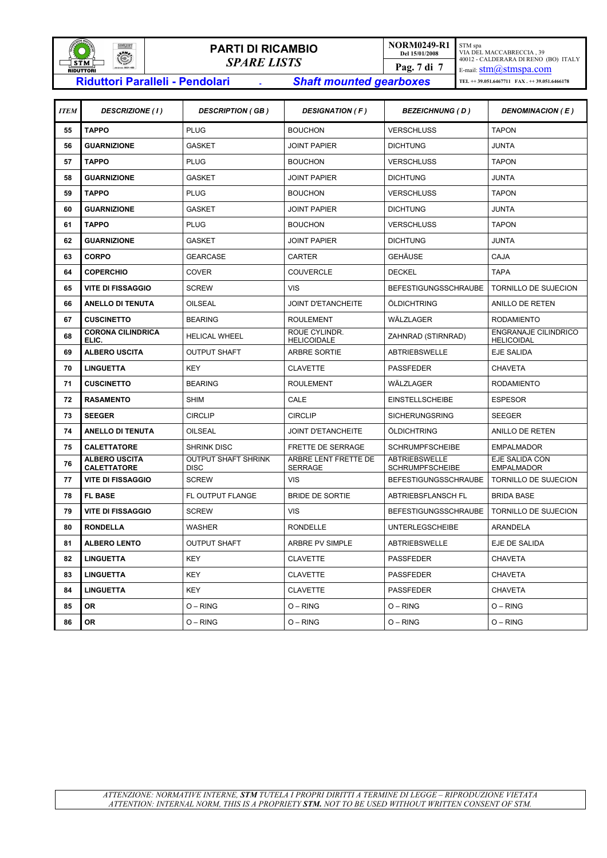

# **PARTI DI RICAMBIO**  *SPARE LISTS* **Riduttori Paralleli - Pendolari -** *Shaft mounted gearboxes*

**NORM0249-R1 Del 15/01/2008**  STM spa VIA DEL MACCABRECCIA , 39 40012 - CALDERARA DI RENO (BO) ITALY E-mail: **stm**@stmspa.com **TEL ++ 39.051.6467711 FAX . ++ 39.051.6466178 Pag. 7 di 7** 

| <b>ITEM</b> | <b>DESCRIZIONE (1)</b>                     | <b>DESCRIPTION (GB)</b>                   | <b>DESIGNATION (F)</b>                 | <b>BEZEICHNUNG ( D )</b>                       | <b>DENOMINACION (E)</b>                   |
|-------------|--------------------------------------------|-------------------------------------------|----------------------------------------|------------------------------------------------|-------------------------------------------|
| 55          | <b>TAPPO</b>                               | <b>PLUG</b>                               | <b>BOUCHON</b>                         | <b>VERSCHLUSS</b>                              | <b>TAPON</b>                              |
| 56          | <b>GUARNIZIONE</b>                         | <b>GASKET</b>                             | <b>JOINT PAPIER</b>                    | <b>DICHTUNG</b>                                | <b>JUNTA</b>                              |
| 57          | <b>TAPPO</b>                               | <b>PLUG</b>                               | <b>BOUCHON</b>                         | <b>VERSCHLUSS</b>                              | <b>TAPON</b>                              |
| 58          | <b>GUARNIZIONE</b>                         | <b>GASKET</b>                             | <b>JOINT PAPIER</b>                    | <b>DICHTUNG</b>                                | JUNTA                                     |
| 59          | <b>TAPPO</b>                               | <b>PLUG</b>                               | <b>BOUCHON</b>                         | <b>VERSCHLUSS</b>                              | <b>TAPON</b>                              |
| 60          | <b>GUARNIZIONE</b>                         | <b>GASKET</b>                             | <b>JOINT PAPIER</b>                    | <b>DICHTUNG</b>                                | JUNTA                                     |
| 61          | <b>TAPPO</b>                               | <b>PLUG</b>                               | <b>BOUCHON</b>                         | <b>VERSCHLUSS</b>                              | <b>TAPON</b>                              |
| 62          | <b>GUARNIZIONE</b>                         | <b>GASKET</b>                             | <b>JOINT PAPIER</b>                    | <b>DICHTUNG</b>                                | <b>JUNTA</b>                              |
| 63          | <b>CORPO</b>                               | <b>GEARCASE</b>                           | <b>CARTER</b>                          | <b>GEHÄUSE</b>                                 | CAJA                                      |
| 64          | <b>COPERCHIO</b>                           | <b>COVER</b>                              | <b>COUVERCLE</b>                       | <b>DECKEL</b>                                  | <b>TAPA</b>                               |
| 65          | <b>VITE DI FISSAGGIO</b>                   | <b>SCREW</b>                              | <b>VIS</b>                             | <b>BEFESTIGUNGSSCHRAUBE</b>                    | <b>TORNILLO DE SUJECION</b>               |
| 66          | <b>ANELLO DI TENUTA</b>                    | <b>OILSEAL</b>                            | <b>JOINT D'ETANCHEITE</b>              | ÖLDICHTRING                                    | ANILLO DE RETEN                           |
| 67          | <b>CUSCINETTO</b>                          | <b>BEARING</b>                            | <b>ROULEMENT</b>                       | WÄLZLAGER                                      | <b>RODAMIENTO</b>                         |
| 68          | <b>CORONA CILINDRICA</b><br>ELIC.          | <b>HELICAL WHEEL</b>                      | ROUE CYLINDR.<br><b>HELICOIDALE</b>    | ZAHNRAD (STIRNRAD)                             | ENGRANAJE CILINDRICO<br><b>HELICOIDAL</b> |
| 69          | <b>ALBERO USCITA</b>                       | <b>OUTPUT SHAFT</b>                       | ARBRE SORTIE                           | <b>ABTRIEBSWELLE</b>                           | <b>EJE SALIDA</b>                         |
| 70          | <b>LINGUETTA</b>                           | KEY                                       | <b>CLAVETTE</b>                        | <b>PASSFEDER</b>                               | <b>CHAVETA</b>                            |
| 71          | <b>CUSCINETTO</b>                          | <b>BEARING</b>                            | <b>ROULEMENT</b>                       | WÄLZLAGER                                      | <b>RODAMIENTO</b>                         |
| 72          | <b>RASAMENTO</b>                           | <b>SHIM</b>                               | CALE                                   | <b>EINSTELLSCHEIBE</b>                         | <b>ESPESOR</b>                            |
| 73          | <b>SEEGER</b>                              | <b>CIRCLIP</b>                            | <b>CIRCLIP</b>                         | <b>SICHERUNGSRING</b>                          | <b>SEEGER</b>                             |
| 74          | <b>ANELLO DI TENUTA</b>                    | OILSEAL                                   | <b>JOINT D'ETANCHEITE</b>              | ÖLDICHTRING                                    | ANILLO DE RETEN                           |
| 75          | <b>CALETTATORE</b>                         | <b>SHRINK DISC</b>                        | <b>FRETTE DE SERRAGE</b>               | <b>SCHRUMPFSCHEIBE</b>                         | <b>EMPALMADOR</b>                         |
| 76          | <b>ALBERO USCITA</b><br><b>CALETTATORE</b> | <b>OUTPUT SHAFT SHRINK</b><br><b>DISC</b> | ARBRE LENT FRETTE DE<br><b>SERRAGE</b> | <b>ABTRIEBSWELLE</b><br><b>SCHRUMPFSCHEIBE</b> | EJE SALIDA CON<br><b>EMPALMADOR</b>       |
| 77          | <b>VITE DI FISSAGGIO</b>                   | <b>SCREW</b>                              | <b>VIS</b>                             | <b>BEFESTIGUNGSSCHRAUBE</b>                    | TORNILLO DE SUJECION                      |
| 78          | <b>FL BASE</b>                             | FL OUTPUT FLANGE                          | <b>BRIDE DE SORTIE</b>                 | <b>ABTRIEBSFLANSCH FL</b>                      | <b>BRIDA BASE</b>                         |
| 79          | <b>VITE DI FISSAGGIO</b>                   | <b>SCREW</b>                              | <b>VIS</b>                             | <b>BEFESTIGUNGSSCHRAUBE</b>                    | TORNILLO DE SUJECION                      |
| 80          | <b>RONDELLA</b>                            | <b>WASHER</b>                             | <b>RONDELLE</b>                        | <b>UNTERLEGSCHEIBE</b>                         | <b>ARANDELA</b>                           |
| 81          | <b>ALBERO LENTO</b>                        | <b>OUTPUT SHAFT</b>                       | ARBRE PV SIMPLE                        | <b>ABTRIEBSWELLE</b>                           | EJE DE SALIDA                             |
| 82          | <b>LINGUETTA</b>                           | KEY                                       | <b>CLAVETTE</b>                        | PASSFEDER                                      | <b>CHAVETA</b>                            |
| 83          | <b>LINGUETTA</b>                           | <b>KEY</b>                                | <b>CLAVETTE</b>                        | <b>PASSFEDER</b>                               | <b>CHAVETA</b>                            |
| 84          | <b>LINGUETTA</b>                           | <b>KEY</b>                                | <b>CLAVETTE</b>                        | PASSFEDER                                      | <b>CHAVETA</b>                            |
| 85          | 0R                                         | $O - RING$                                | O – RING                               | $O - RING$                                     | $O - RING$                                |
| 86          | OR                                         | $O - RING$                                | $O - RING$                             | $O - RING$                                     | $O - RING$                                |
|             |                                            |                                           |                                        |                                                |                                           |